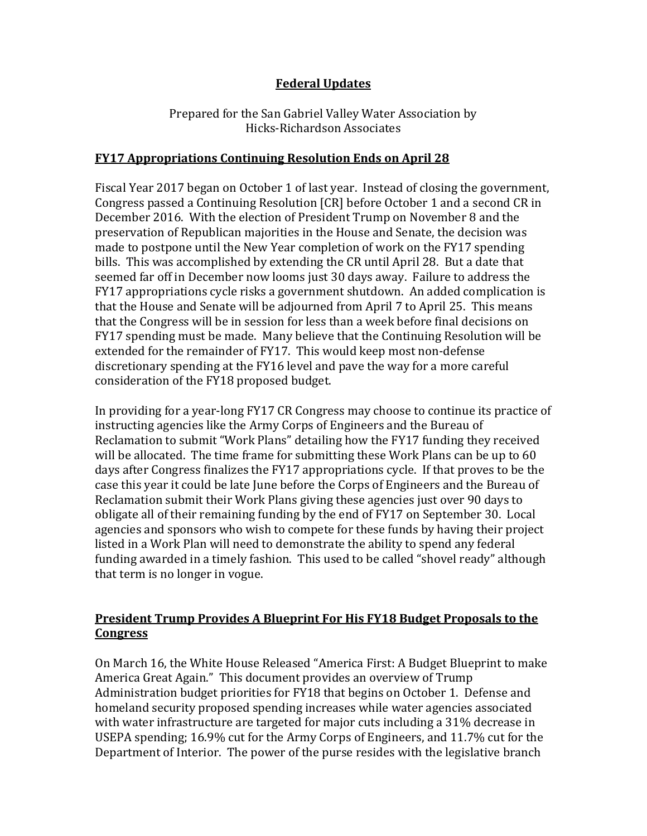# **Federal Updates**

Prepared for the San Gabriel Valley Water Association by Hicks-Richardson Associates

#### **FY17 Appropriations Continuing Resolution Ends on April 28**

Fiscal Year 2017 began on October 1 of last year. Instead of closing the government, Congress passed a Continuing Resolution [CR] before October 1 and a second CR in December 2016. With the election of President Trump on November 8 and the preservation of Republican majorities in the House and Senate, the decision was made to postpone until the New Year completion of work on the FY17 spending bills. This was accomplished by extending the CR until April 28. But a date that seemed far off in December now looms just 30 days away. Failure to address the FY17 appropriations cycle risks a government shutdown. An added complication is that the House and Senate will be adjourned from April 7 to April 25. This means that the Congress will be in session for less than a week before final decisions on FY17 spending must be made. Many believe that the Continuing Resolution will be extended for the remainder of FY17. This would keep most non-defense discretionary spending at the FY16 level and pave the way for a more careful consideration of the FY18 proposed budget.

In providing for a year-long FY17 CR Congress may choose to continue its practice of instructing agencies like the Army Corps of Engineers and the Bureau of Reclamation to submit "Work Plans" detailing how the FY17 funding they received will be allocated. The time frame for submitting these Work Plans can be up to 60 days after Congress finalizes the FY17 appropriations cycle. If that proves to be the case this year it could be late June before the Corps of Engineers and the Bureau of Reclamation submit their Work Plans giving these agencies just over 90 days to obligate all of their remaining funding by the end of FY17 on September 30. Local agencies and sponsors who wish to compete for these funds by having their project listed in a Work Plan will need to demonstrate the ability to spend any federal funding awarded in a timely fashion. This used to be called "shovel ready" although that term is no longer in vogue.

### **President Trump Provides A Blueprint For His FY18 Budget Proposals to the Congress**

On March 16, the White House Released "America First: A Budget Blueprint to make America Great Again." This document provides an overview of Trump Administration budget priorities for FY18 that begins on October 1. Defense and homeland security proposed spending increases while water agencies associated with water infrastructure are targeted for major cuts including a 31% decrease in USEPA spending; 16.9% cut for the Army Corps of Engineers, and 11.7% cut for the Department of Interior. The power of the purse resides with the legislative branch